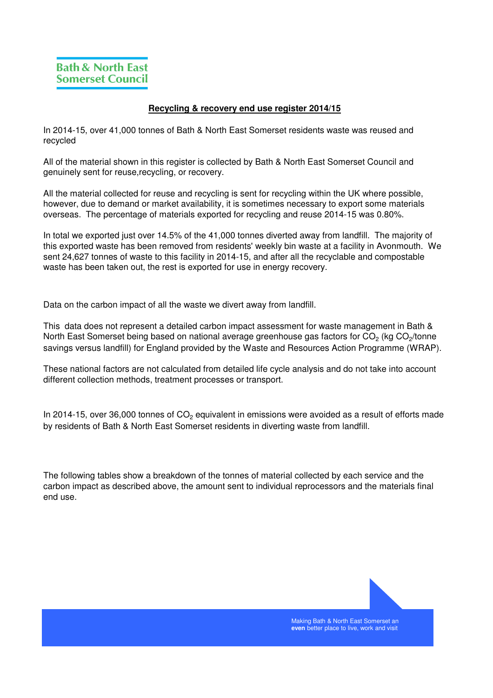## **Recycling & recovery end use register 2014/15**

In 2014-15, over 41,000 tonnes of Bath & North East Somerset residents waste was reused and recycled

All of the material shown in this register is collected by Bath & North East Somerset Council and genuinely sent for reuse,recycling, or recovery.

All the material collected for reuse and recycling is sent for recycling within the UK where possible, however, due to demand or market availability, it is sometimes necessary to export some materials overseas. The percentage of materials exported for recycling and reuse 2014-15 was 0.80%.

In total we exported just over 14.5% of the 41,000 tonnes diverted away from landfill. The majority of this exported waste has been removed from residents' weekly bin waste at a facility in Avonmouth. We sent 24,627 tonnes of waste to this facility in 2014-15, and after all the recyclable and compostable waste has been taken out, the rest is exported for use in energy recovery.

Data on the carbon impact of all the waste we divert away from landfill.

This data does not represent a detailed carbon impact assessment for waste management in Bath & North East Somerset being based on national average greenhouse gas factors for CO<sub>2</sub> (kg CO<sub>2</sub>/tonne savings versus landfill) for England provided by the Waste and Resources Action Programme (WRAP).

These national factors are not calculated from detailed life cycle analysis and do not take into account different collection methods, treatment processes or transport.

In 2014-15, over 36,000 tonnes of  $\mathsf{CO}_2$  equivalent in emissions were avoided as a result of efforts made by residents of Bath & North East Somerset residents in diverting waste from landfill.

The following tables show a breakdown of the tonnes of material collected by each service and the carbon impact as described above, the amount sent to individual reprocessors and the materials final end use.

> Making Bath & North East Somerset an **even** better place to live, work and visit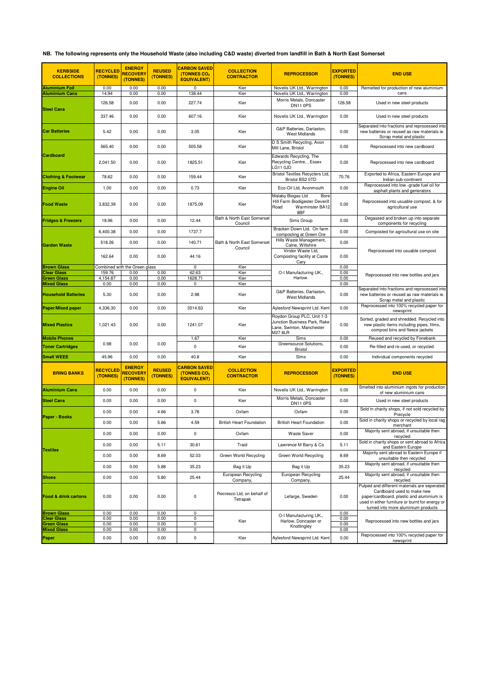## **NB. The following represents only the Household Waste (also including C&D waste) diverted from landfill in Bath & North East Somerset**

| <b>KERBSIDE</b><br><b>COLLECTIONS</b>          | <b>RECYCLED</b><br>(TONNES) | <b>ENERGY</b><br><b>RECOVERY</b><br>(TONNES) | <b>REUSED</b><br>(TONNES) | <b>CARBON SAVED</b><br>(TONNES CO2<br><b>EQUIVALENT)</b> | <b>COLLECTION</b><br><b>CONTRACTOR</b> | <b>REPROCESSOR</b>                                                                                        | <b>EXPORTED</b><br>(TONNES) | <b>END USE</b>                                                                                                                                                                                                     |  |
|------------------------------------------------|-----------------------------|----------------------------------------------|---------------------------|----------------------------------------------------------|----------------------------------------|-----------------------------------------------------------------------------------------------------------|-----------------------------|--------------------------------------------------------------------------------------------------------------------------------------------------------------------------------------------------------------------|--|
| <b>Aluminium Foil</b><br><b>Aluminium Cans</b> | 0.00<br>14.94               | 0.00<br>0.00                                 | 0.00<br>0.00              | 0<br>138.44                                              | Kier<br>Kier                           | Novelis UK Ltd., Warrington<br>Novelis UK Ltd., Warrington                                                | 0.00<br>0.00                | Remelted for production of new aluminium<br>cans                                                                                                                                                                   |  |
|                                                | 126.58                      | 0.00                                         | 0.00                      | 227.74                                                   | Kier                                   | Morris Metals, Doncaster                                                                                  | 126.58                      | Used in new steel products                                                                                                                                                                                         |  |
| <b>Steel Cans</b>                              | 337.46                      | 0.00                                         | 0.00                      | 607.16                                                   | Kier                                   | DN11 0PS<br>Novelis UK Ltd., Warrington                                                                   | 0.00                        | Used in new steel products                                                                                                                                                                                         |  |
| <b>Car Batteries</b>                           | 5.42                        | 0.00                                         | 0.00                      | 3.05                                                     | Kier                                   | G&P Batteries, Darlaston,<br><b>West Midlands</b>                                                         | 0.00                        | Separated into fractions and reprocessed into<br>new batteries or reused as raw materials ie.                                                                                                                      |  |
|                                                | 565.40                      | 0.00                                         | 0.00                      | 505.58                                                   | Kier                                   | D S Smith Recycling, Avon<br>Mill Lane, Bristol                                                           | 0.00                        | Scrap metal and plastic<br>Reprocessed into new cardboard                                                                                                                                                          |  |
| Cardboard                                      | 2,041.50                    | 0.00                                         | 0.00                      | 1825.51                                                  | Kier                                   | Edwards Recycling, The<br>Recycling Centre, , Essex<br>LG11 OJD                                           | 0.00                        | Reprocessed into new cardboard                                                                                                                                                                                     |  |
| <b>Clothing &amp; Footwear</b>                 | 78.62                       | 0.00                                         | 0.00                      | 159.44                                                   | Kier                                   | <b>Bristol Textiles Recyclers Ltd.</b><br>Bristol BS2 0TD                                                 | 70.76                       | Exported to Africa, Eastern Europe and<br>Indian sub-continent                                                                                                                                                     |  |
| <b>Engine Oil</b>                              | 1.00                        | 0.00                                         | 0.00                      | 0.73                                                     | Kier                                   | Eco-Oil Ltd, Avonmouth                                                                                    | 0.00                        | Reprocessed into low -grade fuel oil for<br>asphalt plants and generators                                                                                                                                          |  |
| <b>Food Waste</b>                              | 3,832.39                    | 0.00                                         | 0.00                      | 1875.09                                                  | Kier                                   | Malaby Biogas Ltd<br>Bore<br>Hill Farm Biodigester Deverill<br>Warminster BA12<br>Road<br>8BF             | 0.00                        | Reprocessed into usuable compost, & for<br>agricultural use                                                                                                                                                        |  |
| <b>Fridges &amp; Freezers</b>                  | 18.96                       | 0.00                                         | 0.00                      | 12.44                                                    | Bath & North East Somerset<br>Council  | Sims Group                                                                                                | 0.00                        | Degassed and broken up into separate<br>components for recycling                                                                                                                                                   |  |
|                                                | 6,400.38                    | 0.00                                         | 0.00                      | 1737.7                                                   |                                        | Bracken Down Ltd. On farm<br>composting at Green Ore                                                      | 0.00                        | Composted for agricultural use on site                                                                                                                                                                             |  |
| <b>Garden Waste</b>                            | 518.26                      | 0.00                                         | 0.00                      | 140.71                                                   | Bath & North East Somerset             | Hills Waste Management,<br>Calne, Wiltshire                                                               | 0.00                        |                                                                                                                                                                                                                    |  |
|                                                | 162.64                      | 0.00                                         | 0.00                      | 44.16                                                    | Council                                | Viridor Waste Ltd,<br>Composting facility at Caste<br>Cary                                                | 0.00                        | Reprocessed into usuable compost                                                                                                                                                                                   |  |
| <b>Brown Glass</b>                             |                             | Combined with the Green glass                |                           | $\mathbf 0$                                              | Kier                                   | O-I Manufacturing UK.,                                                                                    | 0.00                        |                                                                                                                                                                                                                    |  |
| Clear Glass<br>Green Glass                     | 159.76<br>4,154.87          | 0.00<br>0.00                                 | 0.00<br>0.00              | 62.63<br>1628.71                                         | Kier<br>Kier                           | Harlow.                                                                                                   | 0.00<br>0.00                | Reprocessed into new bottles and jars                                                                                                                                                                              |  |
| <b>Mixed Glass</b>                             | 0.00                        | 0.00                                         | 0.00                      | 0                                                        | Kier                                   |                                                                                                           | 0.00                        | Separated into fractions and reprocessed into                                                                                                                                                                      |  |
| <b>Household Batteries</b>                     | 5.30                        | 0.00                                         | 0.00                      | 2.98                                                     | Kier                                   | G&P Batteries, Darlaston.<br><b>West Midlands</b>                                                         | 0.00                        | new batteries or reused as raw materials ie.<br>Scrap metal and plastic                                                                                                                                            |  |
| <b>Paper/Mixed paper</b>                       | 4,336.30                    | 0.00                                         | 0.00                      | 3514.63                                                  | Kier                                   | Aylesford Newsprint Ltd. Kent                                                                             | 0.00                        | Reprocessed into 100% recycled paper for<br>newsprint                                                                                                                                                              |  |
| <b>Mixed Plastics</b>                          | 1,021.43                    | 0.00                                         | 0.00                      | 1241.07                                                  | Kier                                   | Roydon Group PLC, Unit 1-3<br>Junction Business Park, Rake<br>Lane, Swinton, Manchester<br><b>M27 8LR</b> | 0.00                        | Sorted, graded and shredded. Recycled into<br>new plastic items including pipes, films,<br>compost bins and fleece jackets                                                                                         |  |
| <b>Mobile Phones</b>                           | 0.98                        | 0.00                                         | 0.00                      | 1.67                                                     | Kier                                   | Sims<br>Greensource Solutions,                                                                            | 0.00                        | Reused and recycled by Fonebank                                                                                                                                                                                    |  |
| <b>Toner Cartridges</b>                        |                             |                                              |                           | 0                                                        | Kier                                   | <b>Bristol</b>                                                                                            | 0.00                        | Re-filled and re-used, or recycled.                                                                                                                                                                                |  |
| <b>Small WEEE</b>                              | 45.96                       | 0.00                                         | 0.00                      | 40.8                                                     | Kier                                   | Sims                                                                                                      | 0.00                        | Individual components recycled                                                                                                                                                                                     |  |
| <b>BRING BANKS</b>                             | RECYCLED<br>(TONNES)        | <b>ENERGY</b><br><b>RECOVERY</b><br>(TONNES) | <b>REUSED</b><br>(TONNES) | <b>CARBON SAVED</b><br>(TONNES CO2<br><b>EQUIVALENT)</b> | <b>COLLECTION</b><br><b>CONTRACTOR</b> | <b>REPROCESSOR</b>                                                                                        | <b>EXPORTED</b><br>(TONNES) | <b>END USE</b>                                                                                                                                                                                                     |  |
| <b>Aluminium Cans</b>                          | 0.00                        | 0.00                                         | 0.00                      | 0                                                        | Kier                                   | Novelis UK Ltd., Warrington                                                                               | 0.00                        | Smelted into aluminium ingots for production<br>of new aluminium cans                                                                                                                                              |  |
| <b>Steel Cans</b>                              | 0.00                        | 0.00                                         | 0.00                      | $\pmb{0}$                                                | Kier                                   | Morris Metals, Doncaster<br><b>DN11 0PS</b>                                                               | 0.00                        | Used in new steel products                                                                                                                                                                                         |  |
|                                                | 0.00                        | 0.00                                         | 4.66                      | 3.78                                                     | Oxfam                                  | Oxfam                                                                                                     | 0.00                        | Sold in charity shops, if not sold recycled by<br>Precycle                                                                                                                                                         |  |
| <b>Paper - Books</b>                           | 0.00                        | 0.00                                         | 5.66                      | 4.59                                                     | <b>British Heart Foundation</b>        | <b>British Heart Foundation</b>                                                                           | 0.00                        | Sold in charity shops or recycled by local rag<br>merchant                                                                                                                                                         |  |
| <b>Textiles</b>                                | 0.00                        | 0.00                                         | 0.00                      | 0                                                        | Oxfam                                  | Waste Saver                                                                                               | 0.00                        | Majority sent abroad, if unsuitable then<br>recycled                                                                                                                                                               |  |
|                                                | 0.00                        | 0.00                                         | 5.11                      | 30.61                                                    | Traid                                  | Lawrence M Barry & Co                                                                                     | 5.11                        | Sold in charity shops or sent abroad to Africa<br>and Eastern Europe                                                                                                                                               |  |
|                                                | 0.00                        | 0.00                                         | 8.69                      | 52.03                                                    | Green World Recycling                  | Green World Recycling                                                                                     | 8.69                        | Majority sent abroad to Eastern Europe if<br>unsuitable then recycled                                                                                                                                              |  |
|                                                | 0.00                        | 0.00                                         | 5.88                      | 35.23                                                    | Bag it Up                              | Bag it Up                                                                                                 | 35.23                       | Majority sent abroad, if unsuitable then<br>recycled                                                                                                                                                               |  |
| <b>Shoes</b>                                   | 0.00                        | 0.00                                         | 5.80                      | 25.44                                                    | European Recycling<br>Company,         | European Recycling<br>Company,                                                                            | 25.44                       | Majority sent abroad, if unsuitable then<br>recycled                                                                                                                                                               |  |
| <b>Food &amp; drink cartons</b>                | 0.00                        | 0.00                                         | 0.00                      | 0                                                        | Recresco Ltd, on behalf of<br>Tetrapak | Lefarge, Sweden                                                                                           | 0.00                        | Pulped and different materials are seperated.<br>Cardboard used to make new<br>paper/cardboard, plastic and aluminium is<br>used in either furniture or burnt for energy or<br>turned into more aluminium products |  |
| <b>Brown Glass</b><br><b>Clear Glass</b>       | 0.00<br>0.00                | 0.00<br>0.00                                 | 0.00<br>0.00              | 0<br>0                                                   |                                        | O-I Manufacturing UK.,                                                                                    | 0.00<br>0.00                |                                                                                                                                                                                                                    |  |
| Green Glass                                    | 0.00                        | 0.00                                         | 0.00                      | 0                                                        | Kier                                   | Harlow, Doncaster or<br>Knottingley                                                                       | 0.00                        | Reprocessed into new bottles and jars                                                                                                                                                                              |  |
| <b>Mixed Glass</b>                             | 0.00                        | 0.00                                         | 0.00                      | 0                                                        |                                        |                                                                                                           | 0.00                        | Reprocessed into 100% recycled paper for                                                                                                                                                                           |  |
| Paper                                          | 0.00                        | 0.00                                         | 0.00                      | 0                                                        | Kier                                   | Aylesford Newsprint Ltd. Kent                                                                             | 0.00                        | newsprint                                                                                                                                                                                                          |  |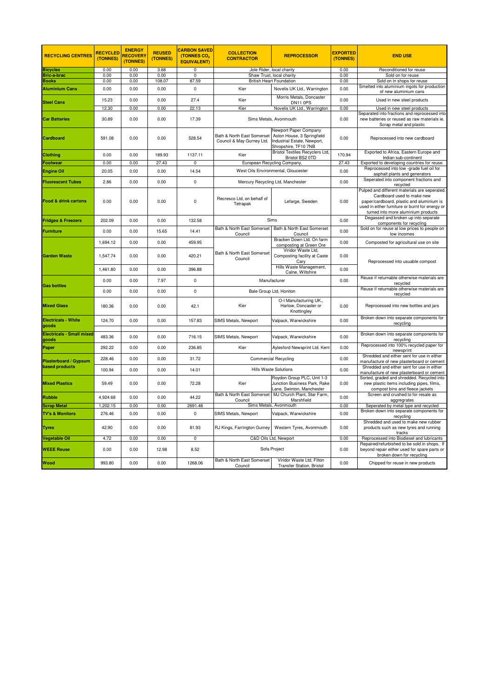| <b>RECYCLING CENTRES</b>                       | <b>RECYCLED</b><br>(TONNES) | <b>ENERGY</b><br>RECOVERY<br>(TONNES) | <b>REUSED</b><br>(TONNES) | <b>CARBON SAVED</b><br>(TONNES CO2<br><b>EQUIVALENT)</b> | <b>COLLECTION</b><br><b>CONTRACTOR</b>                  | <b>REPROCESSOR</b>                                                                                         | <b>EXPORTED</b><br>(TONNES) | <b>END USE</b>                                                                                                                                                                                                     |  |
|------------------------------------------------|-----------------------------|---------------------------------------|---------------------------|----------------------------------------------------------|---------------------------------------------------------|------------------------------------------------------------------------------------------------------------|-----------------------------|--------------------------------------------------------------------------------------------------------------------------------------------------------------------------------------------------------------------|--|
| <b>Bicycles</b>                                | 0.00                        | 0.00                                  | 3.68                      | $\overline{0}$                                           |                                                         | Jole Rider, local charity                                                                                  | 0.00                        | Reconditioned for reuse                                                                                                                                                                                            |  |
| <b>Bric-a-brac</b>                             | 0.00                        | 0.00                                  | 0.00                      | 0                                                        |                                                         | Shaw Trust, local charity                                                                                  | 0.00                        | Sold on for reuse                                                                                                                                                                                                  |  |
| <b>Books</b>                                   | 0.00                        | 0.00                                  | 108.07                    | 87.59                                                    |                                                         | <b>British Heart Foundation</b>                                                                            | 0.00                        | Sold on in shops for reuse                                                                                                                                                                                         |  |
| <b>Aluminium Cans</b>                          | 0.00                        | 0.00                                  | 0.00                      | 0                                                        | Kier                                                    | Novelis UK Ltd., Warrington<br>Morris Metals, Doncaster                                                    | 0.00                        | Smelted into aluminium ingots for production<br>of new aluminium cans                                                                                                                                              |  |
| <b>Steel Cans</b>                              | 15.23                       | 0.00                                  | 0.00                      | 27.4                                                     | Kier                                                    | DN11 0PS                                                                                                   | 0.00                        | Used in new steel products                                                                                                                                                                                         |  |
|                                                | 12.30                       | 0.00                                  | 0.00                      | 22.13                                                    | Kier                                                    | Novelis UK Ltd., Warrington                                                                                | 0.00                        | Used in new steel products                                                                                                                                                                                         |  |
| <b>Car Batteries</b>                           | 30.89                       | 0.00                                  | 0.00                      | 17.39                                                    |                                                         | Sims Metals, Avonmouth                                                                                     | 0.00                        | Separated into fractions and reprocessed into<br>new batteries or reused as raw materials ie.<br>Scrap metal and plastic                                                                                           |  |
| Cardboard                                      | 591.08                      | 0.00                                  | 0.00                      | 528.54                                                   | Bath & North East Somerset<br>Council & May Gurney Ltd. | Newport Paper Company<br>Aston House, 3 Springfield<br>Industrial Estate, Newport,<br>Shropshire, TF10 7NB | 0.00                        | Reprocessed into new cardboard                                                                                                                                                                                     |  |
| <b>Clothing</b>                                | 0.00                        | 0.00                                  | 189.93                    | 1137.11                                                  | Kier                                                    | Bristol Textiles Recyclers Ltd,<br>Bristol BS2 0TD                                                         | 170.94                      | Exported to Africa, Eastern Europe and<br>Indian sub-continent                                                                                                                                                     |  |
| Footwear                                       | 0.00                        | 0.00                                  | 27.43                     | $\mathbf 0$                                              |                                                         | European Recycling Company,                                                                                | 27.43                       | Exported to developing countries for reuse.                                                                                                                                                                        |  |
| <b>Engine Oil</b>                              | 20.05                       | 0.00                                  | 0.00                      | 14.54                                                    |                                                         | West Oils Environmental, Gloucester                                                                        | 0.00                        | Reprocessed into low -grade fuel oil for                                                                                                                                                                           |  |
| <b>Fluorescent Tubes</b>                       | 2.86                        | 0.00                                  | 0.00                      | 0                                                        |                                                         | Mercury Recycling Ltd, Manchester                                                                          | 0.00                        | asphalt plants and generators<br>Seperated into component fractions and                                                                                                                                            |  |
|                                                |                             |                                       |                           |                                                          |                                                         |                                                                                                            |                             | recycled                                                                                                                                                                                                           |  |
| <b>Food &amp; drink cartons</b>                | 0.00                        | 0.00                                  | 0.00                      | $\pmb{0}$                                                | Recresco Ltd, on behalf of<br>Tetrapak                  | Lefarge, Sweden                                                                                            | 0.00                        | Pulped and different materials are seperated.<br>Cardboard used to make new<br>paper/cardboard, plastic and aluminium is<br>used in either furniture or burnt for energy or<br>turned into more aluminium products |  |
| <b>Fridges &amp; Freezers</b>                  | 202.09                      | 0.00                                  | 0.00                      | 132.58                                                   | Sims                                                    |                                                                                                            | 0.00                        | Degassed and broken up into separate<br>components for recycling                                                                                                                                                   |  |
| <b>Furniture</b>                               | 0.00                        | 0.00                                  | 15.65                     | 14.41                                                    | Bath & North East Somerset<br>Council                   | Bath & North East Somerset<br>Council                                                                      | 0.00                        | Sold on for reuse at low prices to people on<br>low incomes                                                                                                                                                        |  |
|                                                | 1,694.12                    | 0.00                                  | 0.00                      | 459.95                                                   |                                                         | Bracken Down Ltd. On farm<br>composting at Green Ore                                                       | 0.00                        | Composted for agricultural use on site                                                                                                                                                                             |  |
| <b>Garden Waste</b>                            | 1,547.74                    | 0.00                                  | 0.00                      | 420.21                                                   | Bath & North East Somerset<br>Council                   | Viridor Waste Ltd,<br>Composting facility at Caste<br>Cary                                                 | 0.00                        | Reprocessed into usuable compost                                                                                                                                                                                   |  |
|                                                | 1,461.80                    | 0.00                                  | 0.00                      | 396.88                                                   |                                                         | Hills Waste Management,<br>Calne, Wiltshire                                                                | 0.00                        |                                                                                                                                                                                                                    |  |
| <b>Gas bottles</b>                             | 0.00                        | 0.00                                  | 7.97                      | $\pmb{0}$                                                | Manufacturer                                            |                                                                                                            | 0.00                        | Reuse if returnable otherwise materials are<br>recycled                                                                                                                                                            |  |
|                                                | 0.00                        | 0.00                                  | 0.00                      | $\pmb{0}$                                                |                                                         | Bale Group Ltd, Honiton                                                                                    |                             | Reuse if returnable otherwise materials are<br>recycled                                                                                                                                                            |  |
| <b>Mixed Glass</b>                             | 180.36                      | 0.00                                  | 0.00                      | 42.1                                                     | Kier                                                    | O-I Manufacturing UK.,<br>Harlow, Doncaster or<br>Knottingley                                              | 0.00                        | Reprocessed into new bottles and jars                                                                                                                                                                              |  |
| <b>Electricals - White</b><br>goods            | 124.70                      | 0.00                                  | 0.00                      | 157.83                                                   | SIMS Metals, Newport                                    | Valpack, Warwickshire                                                                                      | 0.00                        | Broken down into separate components for<br>recycling                                                                                                                                                              |  |
| <b>Electricals - Small mixed</b>               | 483.36                      | 0.00                                  | 0.00                      | 716.15                                                   | SIMS Metals, Newport                                    | Valpack, Warwickshire                                                                                      | 0.00                        | Broken down into separate components for                                                                                                                                                                           |  |
| goods                                          |                             |                                       |                           |                                                          |                                                         |                                                                                                            |                             | recycling<br>Reprocessed into 100% recycled paper for                                                                                                                                                              |  |
| Paper                                          | 292.22                      | 0.00                                  | 0.00                      | 236.85                                                   | Kier                                                    | Aylesford Newsprint Ltd. Kent                                                                              | 0.00                        | newsprint<br>Shredded and either sent for use in either                                                                                                                                                            |  |
| Plasterboard / Gypsum<br><b>based products</b> | 228.46                      | 0.00                                  | 0.00                      | 31.72                                                    |                                                         | <b>Commercial Recycling</b>                                                                                | 0.00                        | manufacture of new plasterboard or cement<br>Shredded and either sent for use in either                                                                                                                            |  |
|                                                | 100.94                      | 0.00                                  | 0.00                      | 14.01                                                    |                                                         | <b>Hills Waste Solutions</b>                                                                               | 0.00                        | manufacture of new plasterboard or cement                                                                                                                                                                          |  |
| <b>Mixed Plastics</b>                          | 59.49                       | 0.00                                  | 0.00                      | 72.28                                                    | Kier                                                    | Roydon Group PLC, Unit 1-3<br>Junction Business Park, Rake<br>Lane, Swinton, Manchester                    | 0.00                        | Sorted, graded and shredded. Recycled into<br>new plastic items including pipes, films,<br>compost bins and fleece jackets                                                                                         |  |
| <b>Rubble</b>                                  | 4,924.68                    | 0.00                                  | 0.00                      | 44.22                                                    | Bath & North East Somerset<br>Council                   | MJ Church Plant, Star Farm<br>Marshfield                                                                   | 0.00                        | Screen and crushed to for resale as<br>aggregrates                                                                                                                                                                 |  |
| <b>Scrap Metal</b>                             | 1,202.15                    | 0.00                                  | 0.00                      | 2691.48                                                  |                                                         | Sims Metals, Avonmouth                                                                                     | 0.00                        | Seperated by metal type and recycled                                                                                                                                                                               |  |
| <b>TV's &amp; Monitors</b>                     | 276.46                      | 0.00                                  | 0.00                      | 0                                                        | SIMS Metals, Newport                                    | Valpack, Warwickshire                                                                                      | 0.00                        | Broken down into separate components for<br>recycling                                                                                                                                                              |  |
| <b>Tyres</b>                                   | 42.90                       | 0.00                                  | 0.00                      | 81.93                                                    | RJ Kings, Farrington Gurney                             | Western Tyres, Avonmouth                                                                                   | 0.00                        | Shredded and used to make new rubber<br>products such as new tyres and running<br>tracks                                                                                                                           |  |
| <b>Vegetable Oil</b>                           | 4.72                        | 0.00                                  | 0.00                      | 0                                                        |                                                         | C&D Oils Ltd, Newport                                                                                      | 0.00                        | Reprocessed into Biodiesel and lubricants                                                                                                                                                                          |  |
| <b>WEEE Reuse</b>                              | 0.00                        | 0.00                                  | 12.98                     | 8.52                                                     | Sofa Project                                            |                                                                                                            | 0.00                        | Repaired/refurbished to be sold in shops. If<br>beyond repair either used for spare parts or<br>broken down for recycling                                                                                          |  |
| Wood                                           | 993.80                      | 0.00                                  | 0.00                      | 1268.06                                                  | Bath & North East Somerset<br>Council                   | Viridor Waste Ltd, Filton<br><b>Transfer Station, Bristol</b>                                              | 0.00                        | Chipped for reuse in new products                                                                                                                                                                                  |  |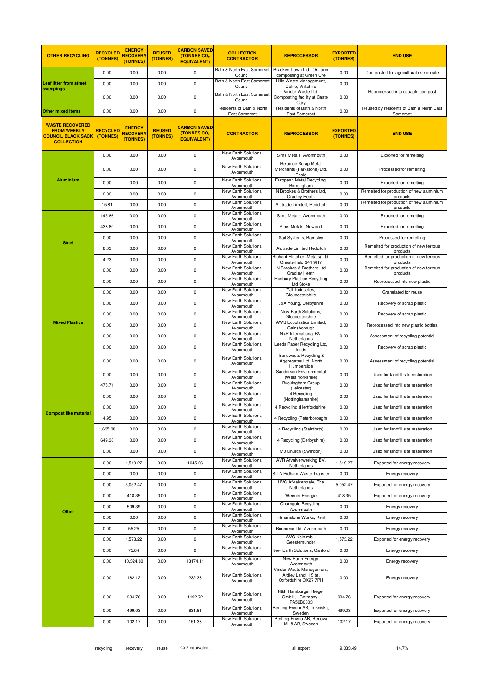| <b>OTHER RECYCLING</b>                                                                         | <b>RECYCLED</b><br>(TONNES) | <b>ENERGY</b><br><b>RECOVERY</b><br>(TONNES) | <b>REUSED</b><br>(TONNES) | <b>CARBON SAVED</b><br>(TONNES CO <sub>2</sub><br><b>EQUIVALENT)</b> | <b>COLLECTION</b><br><b>CONTRACTOR</b>         | <b>REPROCESSOR</b>                                                                      | <b>EXPORTED</b><br>(TONNES) | <b>END USE</b>                                       |
|------------------------------------------------------------------------------------------------|-----------------------------|----------------------------------------------|---------------------------|----------------------------------------------------------------------|------------------------------------------------|-----------------------------------------------------------------------------------------|-----------------------------|------------------------------------------------------|
| <b>Leaf litter from street</b>                                                                 | 0.00                        | 0.00                                         | 0.00                      | $\pmb{0}$                                                            | Bath & North East Somerset<br>Council          | Bracken Down Ltd. On farm<br>composting at Green Ore                                    | 0.00                        | Composted for agricultural use on site               |
|                                                                                                | 0.00                        | 0.00                                         | 0.00                      | 0                                                                    | Bath & North East Somerset<br>Council          | Hills Waste Management,<br>Calne, Wiltshire                                             | 0.00                        |                                                      |
| sweepings                                                                                      | 0.00                        | 0.00                                         | 0.00                      | 0                                                                    | Bath & North East Somerset<br>Council          | Viridor Waste Ltd,<br>Composting facility at Caste<br>Cary                              | 0.00                        | Reprocessed into usuable compost                     |
| <b>Other mixed items</b>                                                                       | 0.00                        | 0.00                                         | 0.00                      | 0                                                                    | Residents of Bath & North<br>East Somerset     | Residents of Bath & North<br>East Somerset                                              | 0.00                        | Reused by residents of Bath & North East<br>Somerset |
| <b>WASTE RECOVERED</b><br><b>FROM WEEKLY</b><br><b>COUNCIL BLACK SACK</b><br><b>COLLECTION</b> | <b>RECYCLED</b><br>(TONNES) | <b>ENERGY</b><br><b>RECOVER</b><br>(TONNES)  | <b>REUSED</b><br>(TONNES) | <b>CARBON SAVED</b><br>(TONNES CO2<br><b>EQUIVALENT)</b>             | <b>CONTRACTOR</b>                              | <b>REPROCESSOR</b>                                                                      | <b>EXPORTED</b><br>(TONNES) | <b>END USE</b>                                       |
|                                                                                                | 0.00                        | 0.00                                         | 0.00                      | $\pmb{0}$                                                            | New Earth Solutions,<br>Avonmouth              | Sims Metals, Avonmouth                                                                  | 0.00                        | Exported for remelting                               |
|                                                                                                | 0.00                        | 0.00                                         | 0.00                      | 0                                                                    | New Earth Solutions.<br>Avonmouth              | Relaince Scrap Metal<br>Merchants (Parkstone) Ltd,<br>Poole                             | 0.00                        | Processed for remelting                              |
| <b>Aluminium</b>                                                                               | 0.00                        | 0.00                                         | 0.00                      | 0                                                                    | New Earth Solutions,<br>Avonmouth              | European Metal Recycling,<br>Birmingham                                                 | 0.00                        | Exported for remelting                               |
|                                                                                                | 0.00                        | 0.00                                         | 0.00                      | $\pmb{0}$                                                            | New Earth Solutions,<br>Avonmouth              | N Brookes & Brothers Ltd,<br><b>Cradley Heath</b>                                       | 0.00                        | Remelted for production of new aluminium<br>products |
|                                                                                                | 15.81                       | 0.00                                         | 0.00                      | 0                                                                    | New Earth Solutions,<br>Avonmouth              | Alutrade Limited, Redditch                                                              | 0.00                        | Remelted for production of new aluminium<br>products |
|                                                                                                | 145.86                      | 0.00                                         | 0.00                      | 0                                                                    | New Earth Solutions,<br>Avonmouth              | Sims Metals, Avonmouth                                                                  | 0.00                        | Exported for remelting                               |
|                                                                                                | 438.80                      | 0.00                                         | 0.00                      | 0                                                                    | New Earth Solutions,<br>Avonmouth              | Sims Metals, Newport                                                                    | 0.00                        | Exported for remelting                               |
|                                                                                                | 0.00                        | 0.00                                         | 0.00                      | 0                                                                    | New Earth Solutions,<br>Avonmouth              | Sait Systems, Barnsley                                                                  | 0.00                        | Processed for remelting                              |
| <b>Steel</b>                                                                                   | 8.03                        | 0.00                                         | 0.00                      | $\pmb{0}$                                                            | New Earth Solutions,<br>Avonmouth              | Alutrade Limited Redditch                                                               | 0.00                        | Remelted for production of new ferrous<br>products   |
|                                                                                                | 4.23                        | 0.00                                         | 0.00                      | 0                                                                    | New Earth Solutions,<br>Avonmouth              | Richard Fletcher (Metals) Ltd,<br>Chesterfield S41 9HY                                  | 0.00                        | Remelted for production of new ferrous<br>products   |
|                                                                                                | 0.00                        | 0.00                                         | 0.00                      | 0                                                                    | New Earth Solutions,<br>Avonmouth              | N Brookes & Brothers Ltd<br><b>Cradley Heath</b>                                        | 0.00                        | Remelted for production of new ferrous<br>products   |
|                                                                                                | 0.00                        | 0.00                                         | 0.00                      | 0                                                                    | New Earth Solutions,<br>Avonmouth              | Hanbury Plastice Recycling<br>Ltd Stoke                                                 | 0.00                        | Reprocessed into new plastic                         |
|                                                                                                | 0.00                        | 0.00                                         | 0.00                      | 0                                                                    | New Earth Solutions,<br>Avonmouth              | TJL Industries,<br>Gloucestershire                                                      | 0.00                        | Granulated for reuse                                 |
|                                                                                                | 0.00                        | 0.00                                         | 0.00                      | $\pmb{0}$                                                            | New Earth Solutions,<br>Avonmouth              | J&A Young, Derbyshire                                                                   | 0.00                        | Recovery of scrap plastic                            |
|                                                                                                | 0.00                        | 0.00                                         | 0.00                      | $\pmb{0}$                                                            | New Earth Solutions,<br>Avonmouth              | New Earth Solutions,<br>Gloucestershire                                                 | 0.00                        | Recovery of scrap plastic                            |
| <b>Mixed Plastics</b>                                                                          | 0.00                        | 0.00                                         | 0.00                      | 0                                                                    | New Earth Solutions,                           | AWS Ecoplastics Limited,<br>Gainsborough                                                | 0.00                        | Reprocessed into new plastic bottles                 |
|                                                                                                | 0.00                        | 0.00                                         | 0.00                      | 0                                                                    | Avonmouth<br>New Earth Solutions,<br>Avonmouth | N+P International BV,<br>Netherlands                                                    | 0.00                        | Assessment of recycling potential                    |
|                                                                                                | 0.00                        | 0.00                                         | 0.00                      | $\pmb{0}$                                                            | New Earth Solutions,<br>Avonmouth              | Leeds Paper Recycling Ltd,                                                              | 0.00                        | Recovery of scrap plastic                            |
|                                                                                                | 0.00                        | 0.00                                         | 0.00                      | 0                                                                    | New Earth Solutions,<br>Avonmouth              | leeds<br>Transwaste Recycling &<br>Aggregates Ltd, North<br>Humberside                  | 0.00                        | Assessment of recycling potential                    |
|                                                                                                | 0.00                        | 0.00                                         | 0.00                      | 0                                                                    | New Earth Solutions,<br>Avonmouth              | Sanderson Environmental<br>(West Yorkshire)                                             | 0.00                        | Used for landfill site restoration                   |
|                                                                                                | 475.71                      | 0.00                                         | 0.00                      | 0                                                                    | New Earth Solutions,<br>Avonmouth              | <b>Buckingham Group</b><br>(Leicester)                                                  | 0.00                        | Used for landfill site restoration                   |
|                                                                                                | 0.00                        | 0.00                                         | 0.00                      | $\pmb{0}$                                                            | New Earth Solutions,<br>Avonmouth              | 4 Recycling<br>(Nottinghamshire)                                                        | 0.00                        | Used for landfill site restoration                   |
|                                                                                                | 0.00                        | 0.00                                         | 0.00                      | $\pmb{0}$                                                            | New Earth Solutions,<br>Avonmouth              | 4 Recycling (Hertfordshire)                                                             | 0.00                        | Used for landfill site restoration                   |
| <b>Compost like material</b>                                                                   | 4.95                        | 0.00                                         | 0.00                      | 0                                                                    | New Earth Solutions,<br>Avonmouth              | 4 Recycling (Peterborough)                                                              | 0.00                        | Used for landfill site restoration                   |
|                                                                                                | 1,635.38                    | 0.00                                         | 0.00                      | $\pmb{0}$                                                            | New Earth Solutions,<br>Avonmouth              | 4 Recycling (Stainforth)                                                                | 0.00                        | Used for landfill site restoration                   |
|                                                                                                | 649.38                      | 0.00                                         | 0.00                      | $\pmb{0}$                                                            | New Earth Solutions,<br>Avonmouth              | 4 Recycling (Derbyshire)                                                                | 0.00                        | Used for landfill site restoration                   |
|                                                                                                | 0.00                        | 0.00                                         | 0.00                      | $\pmb{0}$                                                            | New Earth Solutions,                           | MJ Church (Swindon)                                                                     | 0.00                        | Used for landfill site restoration                   |
|                                                                                                | 0.00                        | 1,519.27                                     | 0.00                      | 1045.26                                                              | Avonmouth<br>New Earth Solutions,              | AVR Afvalverwerking BV,                                                                 | 1,519.27                    | Exported for energy recovery                         |
|                                                                                                | 0.00                        | 0.00                                         | 0.00                      | 0                                                                    | Avonmouth<br>New Earth Solutions,              | Netherlands<br>SITA Ridham Waste Transfel                                               | 0.00                        | Energy recovery                                      |
|                                                                                                | 0.00                        | 5,052.47                                     | 0.00                      | $\pmb{0}$                                                            | Avonmouth<br>New Earth Solutions,              | HVC AfValcentrale. The                                                                  | 5,052.47                    | Exported for energy recovery                         |
|                                                                                                | 0.00                        | 418.35                                       | 0.00                      | 0                                                                    | Avonmouth<br>New Earth Solutions,              | Netherlands<br>Weener Energie                                                           | 418.35                      | Exported for energy recovery                         |
|                                                                                                | 0.00                        | 509.39                                       | 0.00                      | 0                                                                    | Avonmouth<br>New Earth Solutions,              | Churngold Recycling,                                                                    | 0.00                        | Energy recovery                                      |
| Other                                                                                          | 0.00                        | 0.00                                         | 0.00                      | $\pmb{0}$                                                            | Avonmouth<br>New Earth Solutions,              | Avonmouth<br>Tilmanstone Works, Kent                                                    | 0.00                        | Energy recovery                                      |
|                                                                                                | 0.00                        | 55.25                                        | 0.00                      | 0                                                                    | Avonmouth<br>New Earth Solutions,              | Boomeco Ltd, Avonmouth                                                                  | 0.00                        | Energy recovery                                      |
|                                                                                                | 0.00                        | 1,573.22                                     | 0.00                      | $\pmb{0}$                                                            | Avonmouth<br>New Earth Solutions,              | AVG Koln mbH                                                                            | 1,573.22                    | Exported for energy recovery                         |
|                                                                                                | 0.00                        | 75.84                                        | 0.00                      | $\pmb{0}$                                                            | Avonmouth<br>New Earth Solutions,              | Geestemunder<br>New Earth Solutions, Canford                                            | 0.00                        | Energy recovery                                      |
|                                                                                                | 0.00                        | 10,324.80                                    | 0.00                      | 13174.11                                                             | Avonmouth<br>New Earth Solutions,              | New Earth Energy,                                                                       | 0.00                        | Energy recovery                                      |
|                                                                                                | 0.00                        | 182.12                                       | 0.00                      | 232.38                                                               | Avonmouth<br>New Earth Solutions,<br>Avonmouth | Avonmouth<br>Viridor Waste Management,<br>Ardley Landfill Site,<br>Oxfordshire OX27 7PH | 0.00                        | Energy recovery                                      |
|                                                                                                | 0.00                        | 934.76                                       | 0.00                      | 1192.72                                                              | New Earth Solutions,<br>Avonmouth              | N&P Hamburger Rieger<br>GmbH, , Germany -<br>PA50B0003                                  | 934.76                      | Exported for energy recovery                         |
|                                                                                                | 0.00                        | 499.03                                       | 0.00                      | 631.61                                                               | New Earth Solutions,<br>Avonmouth              | Bertling Enviro AB, Tekniska,<br>Sweden                                                 | 499.03                      | Exported for energy recovery                         |
|                                                                                                | 0.00                        | 102.17                                       | 0.00                      | 151.38                                                               | New Earth Solutions,<br>Avonmouth              | Bertling Enviro AB, Renova<br>Miljö AB, Sweden                                          | 102.17                      | Exported for energy recovery                         |